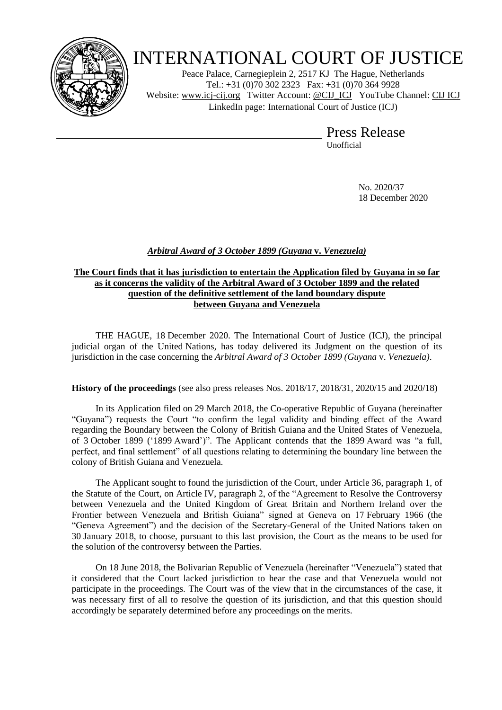

# INTERNATIONAL COURT OF JUSTICE

Peace Palace, Carnegieplein 2, 2517 KJ The Hague, Netherlands Tel.: +31 (0)70 302 2323 Fax: +31 (0)70 364 9928 Website: [www.icj-cij.org](http://www.icj-cij.org/) Twitter Account: [@CIJ\\_ICJ](https://twitter.com/cij_icj) YouTube Channel: [CIJ ICJ](https://www.youtube.com/channel/UC28oiS6IwkVvWL7kLH1-QPg) LinkedIn page: [International Court of Justice \(ICJ\)](https://www.linkedin.com/company/international-court-of-justice/)

> Press Release Unofficial

> > No. 2020/37 18 December 2020

# *Arbitral Award of 3 October 1899 (Guyana* **v.** *Venezuela)*

### **The Court finds that it has jurisdiction to entertain the Application filed by Guyana in so far as it concerns the validity of the Arbitral Award of 3 October 1899 and the related question of the definitive settlement of the land boundary dispute between Guyana and Venezuela**

THE HAGUE, 18 December 2020. The International Court of Justice (ICJ), the principal judicial organ of the United Nations, has today delivered its Judgment on the question of its jurisdiction in the case concerning the *Arbitral Award of 3 October 1899 (Guyana* v. *Venezuela)*.

# **History of the proceedings** (see also press releases Nos. 2018/17, 2018/31, 2020/15 and 2020/18)

In its Application filed on 29 March 2018, the Co-operative Republic of Guyana (hereinafter "Guyana") requests the Court "to confirm the legal validity and binding effect of the Award regarding the Boundary between the Colony of British Guiana and the United States of Venezuela, of 3 October 1899 ('1899 Award')". The Applicant contends that the 1899 Award was "a full, perfect, and final settlement" of all questions relating to determining the boundary line between the colony of British Guiana and Venezuela.

The Applicant sought to found the jurisdiction of the Court, under Article 36, paragraph 1, of the Statute of the Court, on Article IV, paragraph 2, of the "Agreement to Resolve the Controversy between Venezuela and the United Kingdom of Great Britain and Northern Ireland over the Frontier between Venezuela and British Guiana" signed at Geneva on 17 February 1966 (the "Geneva Agreement") and the decision of the Secretary-General of the United Nations taken on 30 January 2018, to choose, pursuant to this last provision, the Court as the means to be used for the solution of the controversy between the Parties.

On 18 June 2018, the Bolivarian Republic of Venezuela (hereinafter "Venezuela") stated that it considered that the Court lacked jurisdiction to hear the case and that Venezuela would not participate in the proceedings. The Court was of the view that in the circumstances of the case, it was necessary first of all to resolve the question of its jurisdiction, and that this question should accordingly be separately determined before any proceedings on the merits.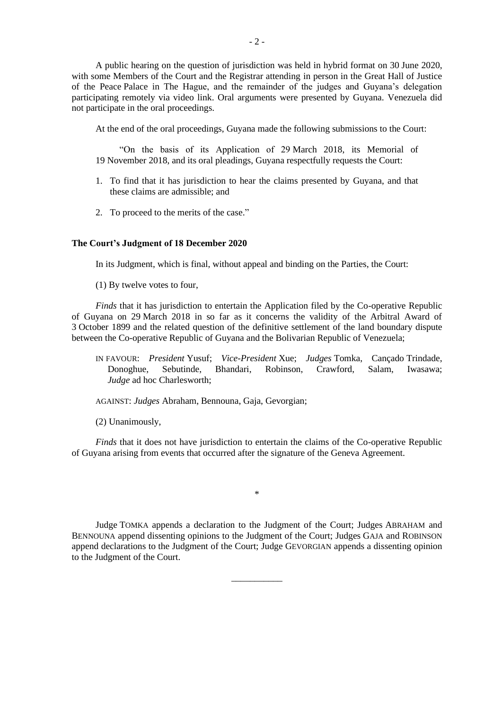A public hearing on the question of jurisdiction was held in hybrid format on 30 June 2020, with some Members of the Court and the Registrar attending in person in the Great Hall of Justice of the Peace Palace in The Hague, and the remainder of the judges and Guyana's delegation participating remotely via video link. Oral arguments were presented by Guyana. Venezuela did not participate in the oral proceedings.

At the end of the oral proceedings, Guyana made the following submissions to the Court:

"On the basis of its Application of 29 March 2018, its Memorial of 19 November 2018, and its oral pleadings, Guyana respectfully requests the Court:

- 1. To find that it has jurisdiction to hear the claims presented by Guyana, and that these claims are admissible; and
- 2. To proceed to the merits of the case."

#### **The Court's Judgment of 18 December 2020**

In its Judgment, which is final, without appeal and binding on the Parties, the Court:

(1) By twelve votes to four,

*Finds* that it has jurisdiction to entertain the Application filed by the Co-operative Republic of Guyana on 29 March 2018 in so far as it concerns the validity of the Arbitral Award of 3 October 1899 and the related question of the definitive settlement of the land boundary dispute between the Co-operative Republic of Guyana and the Bolivarian Republic of Venezuela;

- IN FAVOUR: *President* Yusuf; *Vice-President* Xue; *Judges* Tomka, Cançado Trindade, Donoghue, Sebutinde, Bhandari, Robinson, Crawford, Salam, Iwasawa; *Judge* ad hoc Charlesworth;
- AGAINST: *Judges* Abraham, Bennouna, Gaja, Gevorgian;
- (2) Unanimously,

*Finds* that it does not have jurisdiction to entertain the claims of the Co-operative Republic of Guyana arising from events that occurred after the signature of the Geneva Agreement.

\*

Judge TOMKA appends a declaration to the Judgment of the Court; Judges ABRAHAM and BENNOUNA append dissenting opinions to the Judgment of the Court; Judges GAJA and ROBINSON append declarations to the Judgment of the Court; Judge GEVORGIAN appends a dissenting opinion to the Judgment of the Court.

\_\_\_\_\_\_\_\_\_\_\_